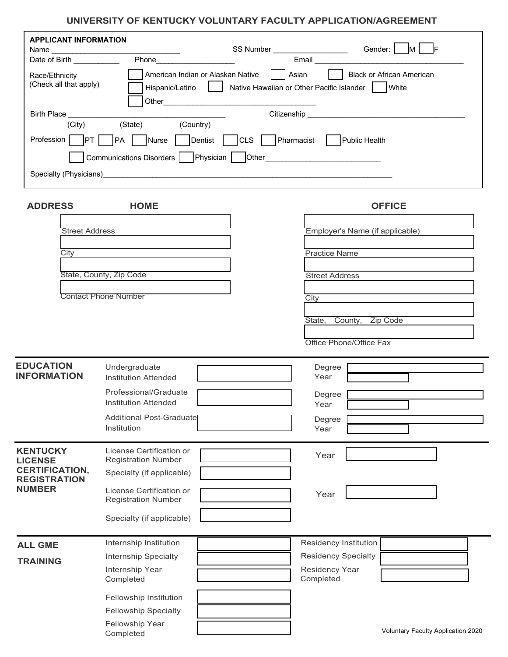| <b>APPLICANT INFORMATION</b><br>Name _________________________ |                                                             | SS Number _____________________ | Gender: M F                                                                    |
|----------------------------------------------------------------|-------------------------------------------------------------|---------------------------------|--------------------------------------------------------------------------------|
| Date of Birth ___________                                      |                                                             |                                 |                                                                                |
| Race/Ethnicity<br>(Check all that apply)                       | American Indian or Alaskan Native<br>Hispanic/Latino        | Asian<br>$\mathbf{L}$           | Black or African American<br>Native Hawaiian or Other Pacific Islander   White |
| Birth Place _____________                                      |                                                             |                                 |                                                                                |
| (City)                                                         | (State) (Country)                                           |                                 |                                                                                |
|                                                                | Profession PT PA Nurse Dentist CLS Pharmacist Public Health |                                 |                                                                                |
|                                                                | Communications Disorders   Physician                        |                                 |                                                                                |
|                                                                | Specialty (Physicians)<br>Specialty (Physicians)            |                                 |                                                                                |
| <b>ADDRESS</b>                                                 | <b>HOME</b>                                                 |                                 | <b>OFFICE</b>                                                                  |
| <b>Street Address</b>                                          |                                                             |                                 | Employer's Name (if applicable)                                                |
|                                                                |                                                             |                                 |                                                                                |
| City                                                           |                                                             |                                 | <b>Practice Name</b>                                                           |
|                                                                | State, County, Zip Code                                     |                                 | <b>Street Address</b>                                                          |
|                                                                | <b>Contact Phone Number</b>                                 |                                 | City                                                                           |
|                                                                |                                                             |                                 | State, County, Zip Code                                                        |
|                                                                |                                                             |                                 |                                                                                |
|                                                                |                                                             |                                 | Office Phone/Office Fax                                                        |
| <b>EDUCATION</b>                                               | Undergraduate                                               |                                 | Degree                                                                         |
| <b>INFORMATION</b>                                             | <b>Institution Attended</b><br>Professional/Graduate        |                                 | Year                                                                           |
|                                                                | <b>Institution Attended</b>                                 |                                 | Degree<br>Year                                                                 |
|                                                                | Additional Post-Graduate                                    |                                 | Degree                                                                         |
|                                                                | Institution                                                 |                                 | Year                                                                           |
| <b>KENTUCKY</b><br><b>LICENSE</b>                              | License Certification or<br><b>Registration Number</b>      |                                 | Year                                                                           |
| <b>CERTIFICATION,</b><br><b>REGISTRATION</b>                   | Specialty (if applicable)                                   |                                 |                                                                                |
| <b>NUMBER</b>                                                  | License Certification or                                    |                                 | Year                                                                           |
|                                                                | <b>Registration Number</b>                                  |                                 |                                                                                |
|                                                                | Specialty (if applicable)                                   |                                 |                                                                                |
| <b>ALL GME</b>                                                 | Internship Institution                                      |                                 | Residency Institution                                                          |

| <b>ALL GME</b>  | Internship Institution              | Residency Institution              |                                    |  |
|-----------------|-------------------------------------|------------------------------------|------------------------------------|--|
| <b>TRAINING</b> | <b>Internship Specialty</b>         | <b>Residency Specialty</b>         |                                    |  |
|                 | Internship Year<br>Completed        | <b>Residency Year</b><br>Completed |                                    |  |
|                 | Fellowship Institution              |                                    |                                    |  |
|                 | <b>Fellowship Specialty</b>         |                                    |                                    |  |
|                 | <b>Fellowship Year</b><br>Completed |                                    | Voluntary Faculty Application 2020 |  |

Completed

Voluntary Faculty Application 2020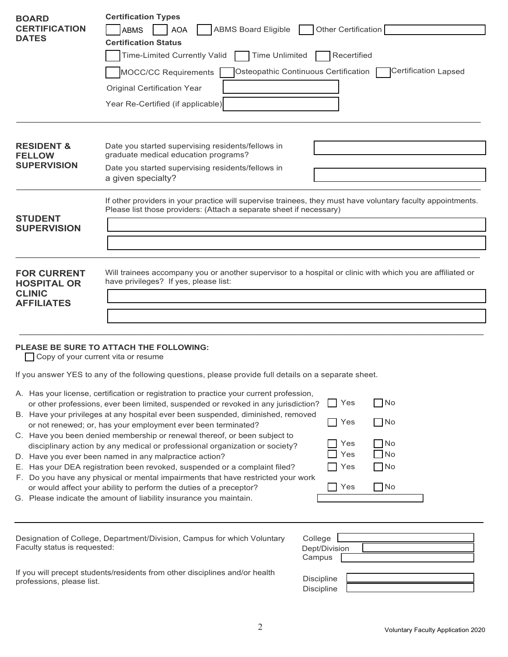| <b>BOARD</b><br><b>CERTIFICATION</b><br><b>DATES</b>                           | <b>Certification Types</b><br><b>ABMS Board Eligible</b><br>Other Certification<br><b>ABMS</b><br><b>AOA</b><br><b>Certification Status</b><br><b>Time Unlimited</b><br>Recertified<br><b>Time-Limited Currently Valid</b><br>Certification Lapsed<br>Osteopathic Continuous Certification<br><b>MOCC/CC Requirements</b><br><b>Original Certification Year</b><br>Year Re-Certified (if applicable)                                                                                                                                                                                                                                                                                                                                 |  |  |  |
|--------------------------------------------------------------------------------|--------------------------------------------------------------------------------------------------------------------------------------------------------------------------------------------------------------------------------------------------------------------------------------------------------------------------------------------------------------------------------------------------------------------------------------------------------------------------------------------------------------------------------------------------------------------------------------------------------------------------------------------------------------------------------------------------------------------------------------|--|--|--|
| <b>RESIDENT &amp;</b><br><b>FELLOW</b><br><b>SUPERVISION</b>                   | Date you started supervising residents/fellows in<br>graduate medical education programs?<br>Date you started supervising residents/fellows in<br>a given specialty?                                                                                                                                                                                                                                                                                                                                                                                                                                                                                                                                                                 |  |  |  |
| <b>STUDENT</b><br><b>SUPERVISION</b>                                           | If other providers in your practice will supervise trainees, they must have voluntary faculty appointments.<br>Please list those providers: (Attach a separate sheet if necessary)                                                                                                                                                                                                                                                                                                                                                                                                                                                                                                                                                   |  |  |  |
| <b>FOR CURRENT</b><br><b>HOSPITAL OR</b><br><b>CLINIC</b><br><b>AFFILIATES</b> | Will trainees accompany you or another supervisor to a hospital or clinic with which you are affiliated or<br>have privileges? If yes, please list:                                                                                                                                                                                                                                                                                                                                                                                                                                                                                                                                                                                  |  |  |  |
| Copy of your current vita or resume                                            | PLEASE BE SURE TO ATTACH THE FOLLOWING:                                                                                                                                                                                                                                                                                                                                                                                                                                                                                                                                                                                                                                                                                              |  |  |  |
|                                                                                | If you answer YES to any of the following questions, please provide full details on a separate sheet.                                                                                                                                                                                                                                                                                                                                                                                                                                                                                                                                                                                                                                |  |  |  |
|                                                                                | A. Has your license, certification or registration to practice your current profession,<br>$\Box$ Yes<br>$\Box$ No<br>or other professions, ever been limited, suspended or revoked in any jurisdiction?<br>B. Have your privileges at any hospital ever been suspended, diminished, removed<br>$\Box$ No<br>Yes<br>or not renewed; or, has your employment ever been terminated?<br>C. Have you been denied membership or renewal thereof, or been subject to<br>Yes<br>No.<br>disciplinary action by any medical or professional organization or society?<br>Yes<br>No<br>D. Have you ever been named in any malpractice action?<br>$\Box$ No<br>E. Has your DEA registration been revoked, suspended or a complaint filed?<br>Yes |  |  |  |

- F. Do you have any physical or mental impairments that have restricted your work
- or would affect your ability to perform the duties of a preceptor? G. Please indicate the amount of liability insurance you maintain.

| าtary | College<br>Dept/Division<br>Campus |  |
|-------|------------------------------------|--|
| th    | Discipline<br>Discipline           |  |

No

**□** Yes

If you will precept students/residents from other disciplines and/or healt professions, please list.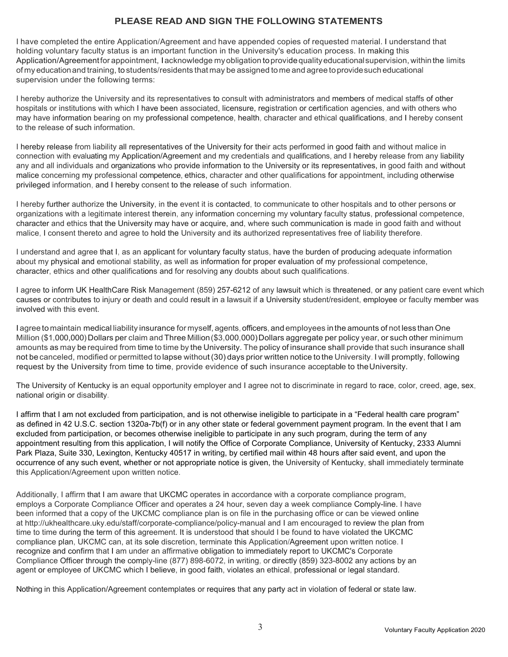## **PLEASE READ AND SIGN THE FOLLOWING STATEMENTS**

I have completed the entire Application/Agreement and have appended copies of requested material. I understand that holding voluntary faculty status is an important function in the University's education process. In making this Application/Agreementfor appointment, I acknowledge myobligation toprovidequalityeducationalsupervision, withinthe limits of my educationand training, to students/residents that may be assigned tome and agree toprovidesuch educational supervision under the following terms:

I hereby authorize the University and its representatives to consult with administrators and members of medical staffs of other hospitals or institutions with which I have been associated, licensure, registration or certification agencies, and with others who may have information bearing on my professional competence, health, character and ethical qualifications, and I hereby consent to the release of such information.

I hereby release from liability all representatives of the University for their acts performed in good faith and without malice in connection with evaluating my Application/Agreement and my credentials and qualifications, and I hereby release from any liability any and all individuals and organizations who provide information to the University or its representatives, in good faith and without malice concerning my professional competence, ethics, character and other qualifications for appointment, including otherwise privileged information, and I hereby consent to the release of such information.

I hereby further authorize the University, in the event it is contacted, to communicate to other hospitals and to other persons or organizations with a legitimate interest therein, any information concerning my voluntary faculty status, professional competence, character and ethics that the University may have or acquire, and, where such communication is made in good faith and without malice, I consent thereto and agree to hold the University and its authorized representatives free of liability therefore.

I understand and agree that I, as an applicant for voluntary faculty status, have the burden of producing adequate information about my physical and emotional stability, as well as information for proper evaluation of my professional competence, character, ethics and other qualifications and for resolving any doubts about such qualifications.

I agree to inform UK HealthCare Risk Management (859) 257-6212 of any lawsuit which is threatened, or any patient care event which causes or contributes to injury or death and could result in a lawsuit if a University student/resident, employee or faculty member was involved with this event.

I agree to maintain medical liability insurance for myself, agents, officers, and employees inthe amounts of not less than One Million (\$1,000,000) Dollars per claim and Three Million(\$3,000,000)Dollars aggregate per policy year, or such other minimum amounts as may be required from time to time by the University. The policy of insurance shall provide that such insurance shall not be canceled, modified or permitted to lapse without (30) days prior written notice to the University. I will promptly, following request by the University from time to time, provide evidence of such insurance acceptable to theUniversity.

The University of Kentucky is an equal opportunity employer and I agree not to discriminate in regard to race, color, creed, age, sex, national origin or disability.

I affirm that I am not excluded from participation, and is not otherwise ineligible to participate in a "Federal health care program" as defined in 42 U.S.C. section 1320a-7b(f) or in any other state or federal government payment program. In the event that I am excluded from participation, or becomes otherwise ineligible to participate in any such program, during the term of any appointment resulting from this application, I will notify the Office of Corporate Compliance, University of Kentucky, 2333 Alumni Park Plaza, Suite 330, Lexington, Kentucky 40517 in writing, by certified mail within 48 hours after said event, and upon the occurrence of any such event, whether or not appropriate notice is given, the University of Kentucky, shall immediately terminate this Application/Agreement upon written notice.

Additionally, I affirm that I am aware that UKCMC operates in accordance with a corporate compliance program, employs a Corporate Compliance Officer and operates a 24 hour, seven day a week compliance Comply-line. I have been informed that a copy of the UKCMC compliance plan is on file in the purchasing office or can be viewed online at http://ukhealthcare.uky.edu/staff/corporate-compliance/policy-manual and I am encouraged to review the plan from time to time during the term of this agreement. It is understood that should I be found to have violated the UKCMC compliance plan, UKCMC can, at its sole discretion, terminate this Application/Agreement upon written notice. I recognize and confirm that I am under an affirmative obligation to immediately report to UKCMC's Corporate Compliance Officer through the comply-line (877) 898-6072, in writing, or directly (859) 323-8002 any actions by an agent or employee of UKCMC which I believe, in good faith, violates an ethical, professional or legal standard.

Nothing in this Application/Agreement contemplates or requires that any party act in violation of federal or state law.